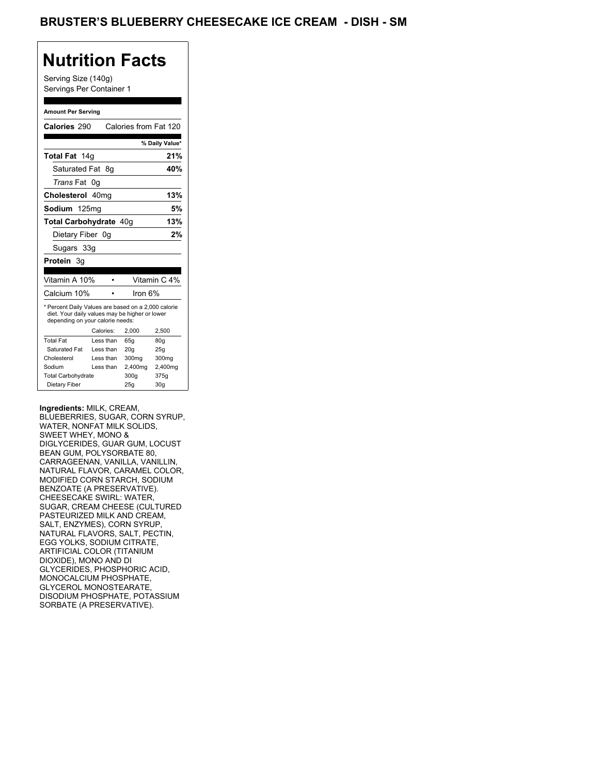## **Nutrition Facts**

Serving Size (140g) Servings Per Container 1

### **Amount Per Serving**

| Calories 290                                                                                                                                                             |    |           | Calories from Fat 120 |                 |
|--------------------------------------------------------------------------------------------------------------------------------------------------------------------------|----|-----------|-----------------------|-----------------|
|                                                                                                                                                                          |    |           |                       | % Daily Value*  |
| <b>Total Fat</b><br>14q                                                                                                                                                  |    |           |                       | 21%             |
| Saturated Fat                                                                                                                                                            |    | 8g        |                       | 40%             |
| Trans Fat                                                                                                                                                                | 0g |           |                       |                 |
| Cholesterol 40mg                                                                                                                                                         |    |           |                       | 13%             |
| Sodium 125mg                                                                                                                                                             |    |           |                       | 5%              |
| Total Carbohydrate 40g                                                                                                                                                   |    |           |                       | 13%             |
| Dietary Fiber 0g                                                                                                                                                         |    |           |                       | 2%              |
| Sugars 33g                                                                                                                                                               |    |           |                       |                 |
| Protein 3g                                                                                                                                                               |    |           |                       |                 |
|                                                                                                                                                                          |    |           |                       |                 |
| Vitamin A 10%                                                                                                                                                            |    |           |                       | Vitamin C 4%    |
| Calcium 10%                                                                                                                                                              |    |           | Iron 6%               |                 |
| * Percent Daily Values are based on a 2,000 calorie<br>diet. Your daily values may be higher or lower<br>depending on your calorie needs:<br>Calories:<br>2,000<br>2,500 |    |           |                       |                 |
| <b>Total Fat</b>                                                                                                                                                         |    | Less than | 65q                   | 80q             |
| Saturated Fat                                                                                                                                                            |    | Less than | 20q                   | 25g             |
| Cholesterol                                                                                                                                                              |    | Less than | 300 <sub>mq</sub>     | 300mg           |
| Sodium                                                                                                                                                                   |    | Less than | 2,400mg               | 2,400mg         |
| <b>Total Carbohydrate</b>                                                                                                                                                |    |           | 300g                  | 375g            |
| Dietary Fiber                                                                                                                                                            |    |           | 25q                   | 30 <sub>q</sub> |

#### **Ingredients:** MILK, CREAM,

BLUEBERRIES, SUGAR, CORN SYRUP, WATER, NONFAT MILK SOLIDS, SWEET WHEY, MONO & DIGLYCERIDES, GUAR GUM, LOCUST BEAN GUM, POLYSORBATE 80, CARRAGEENAN, VANILLA, VANILLIN, NATURAL FLAVOR, CARAMEL COLOR, MODIFIED CORN STARCH, SODIUM BENZOATE (A PRESERVATIVE). CHEESECAKE SWIRL: WATER, SUGAR, CREAM CHEESE (CULTURED PASTEURIZED MILK AND CREAM, SALT, ENZYMES), CORN SYRUP, NATURAL FLAVORS, SALT, PECTIN, EGG YOLKS, SODIUM CITRATE, ARTIFICIAL COLOR (TITANIUM DIOXIDE), MONO AND DI GLYCERIDES, PHOSPHORIC ACID, MONOCALCIUM PHOSPHATE, GLYCEROL MONOSTEARATE, DISODIUM PHOSPHATE, POTASSIUM SORBATE (A PRESERVATIVE).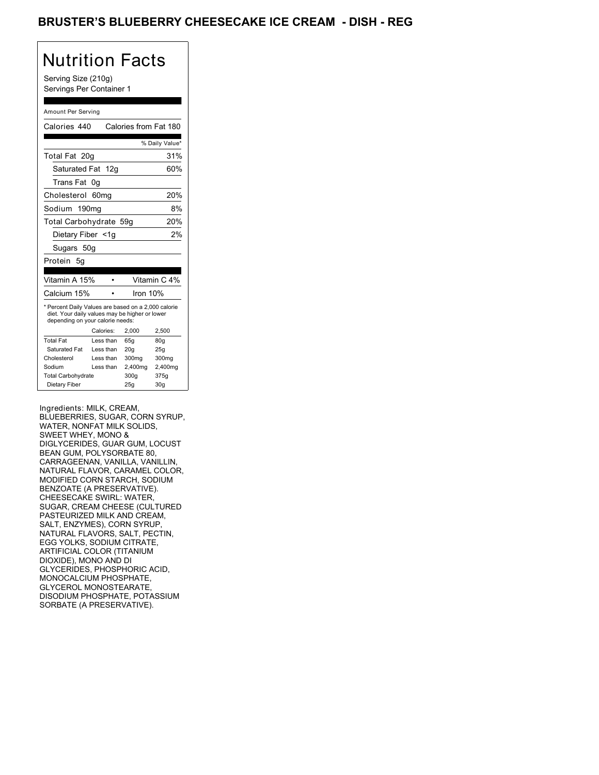## BRUSTER'S BLUEBERRY CHEESECAKE ICE CREAM - DISH - REG

# Nutrition Facts

Serving Size (210g) Servings Per Container 1

### Amount Per Serving

| Calories 440                                                                                                                                                             |                        | Calories from Fat 180 |                 |
|--------------------------------------------------------------------------------------------------------------------------------------------------------------------------|------------------------|-----------------------|-----------------|
|                                                                                                                                                                          |                        |                       | % Daily Value*  |
| Total Fat 20g                                                                                                                                                            |                        |                       | 31%             |
| Saturated Fat 12g                                                                                                                                                        |                        |                       | 60%             |
| Trans Fat                                                                                                                                                                | 0g                     |                       |                 |
| Cholesterol                                                                                                                                                              | 60 <sub>ma</sub>       |                       | 20%             |
| Sodium 190mg                                                                                                                                                             |                        |                       | 8%              |
| Total Carbohydrate 59g                                                                                                                                                   |                        |                       | 20%             |
| Dietary Fiber <1g                                                                                                                                                        |                        |                       | 2%              |
| Sugars 50g                                                                                                                                                               |                        |                       |                 |
| Protein<br>5g                                                                                                                                                            |                        |                       |                 |
|                                                                                                                                                                          |                        |                       |                 |
| Vitamin A 15%                                                                                                                                                            |                        |                       | Vitamin C 4%    |
| Calcium 15%                                                                                                                                                              |                        | Iron 10%              |                 |
| * Percent Daily Values are based on a 2,000 calorie<br>diet. Your daily values may be higher or lower<br>depending on your calorie needs:<br>Calories:<br>2,000<br>2,500 |                        |                       |                 |
| <b>Total Fat</b>                                                                                                                                                         |                        |                       |                 |
| Saturated Fat                                                                                                                                                            | Less than              | 65q                   | 80q             |
| Cholesterol                                                                                                                                                              | Less than<br>Less than | 20q                   | 25g             |
| Sodium                                                                                                                                                                   | Less than              | 300 <sub>mq</sub>     | 300mg           |
|                                                                                                                                                                          |                        | 2,400mg               | 2,400mg         |
| <b>Total Carbohydrate</b>                                                                                                                                                |                        | 300g                  | 375g            |
| Dietary Fiber                                                                                                                                                            |                        | 25g                   | 30 <sub>g</sub> |

Ingredients: MILK, CREAM,

BLUEBERRIES, SUGAR, CORN SYRUP, WATER, NONFAT MILK SOLIDS, SWEET WHEY, MONO & DIGLYCERIDES, GUAR GUM, LOCUST BEAN GUM, POLYSORBATE 80, CARRAGEENAN, VANILLA, VANILLIN, NATURAL FLAVOR, CARAMEL COLOR, MODIFIED CORN STARCH, SODIUM BENZOATE (A PRESERVATIVE). CHEESECAKE SWIRL: WATER, SUGAR, CREAM CHEESE (CULTURED PASTEURIZED MILK AND CREAM, SALT, ENZYMES), CORN SYRUP, NATURAL FLAVORS, SALT, PECTIN, EGG YOLKS, SODIUM CITRATE, ARTIFICIAL COLOR (TITANIUM DIOXIDE), MONO AND DI GLYCERIDES, PHOSPHORIC ACID, MONOCALCIUM PHOSPHATE, GLYCEROL MONOSTEARATE, DISODIUM PHOSPHATE, POTASSIUM SORBATE (A PRESERVATIVE).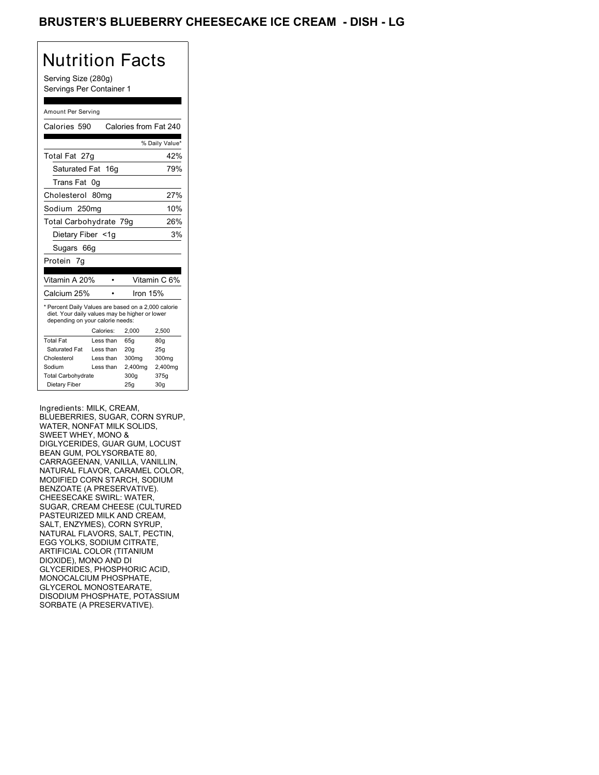## BRUSTER'S BLUEBERRY CHEESECAKE ICE CREAM - DISH - LG

# Nutrition Facts

Serving Size (280g) Servings Per Container 1

### Amount Per Serving

| Calories 590                                                                                                                              |                  | Calories from Fat 240 |                 |
|-------------------------------------------------------------------------------------------------------------------------------------------|------------------|-----------------------|-----------------|
|                                                                                                                                           |                  |                       | % Daily Value*  |
| Total Fat 27g                                                                                                                             |                  |                       | 42%             |
| Saturated Fat 16g                                                                                                                         |                  |                       | 79%             |
| Trans Fat                                                                                                                                 | 0q               |                       |                 |
| Cholesterol                                                                                                                               | 80 <sub>ma</sub> |                       | 27%             |
| Sodium 250mg                                                                                                                              |                  |                       | 10%             |
| Total Carbohydrate 79g                                                                                                                    |                  |                       | 26%             |
| Dietary Fiber <1g                                                                                                                         |                  |                       | 3%              |
| Sugars 66g                                                                                                                                |                  |                       |                 |
| Protein<br>7g                                                                                                                             |                  |                       |                 |
|                                                                                                                                           |                  |                       |                 |
| Vitamin A 20%                                                                                                                             |                  |                       | Vitamin C 6%    |
| Calcium 25%                                                                                                                               |                  | Iron 15%              |                 |
| * Percent Daily Values are based on a 2,000 calorie<br>diet. Your daily values may be higher or lower<br>depending on your calorie needs: |                  |                       |                 |
|                                                                                                                                           | Calories:        | 2,000                 | 2,500           |
| <b>Total Fat</b>                                                                                                                          | Less than        | 65q                   | 80q             |
| Saturated Fat                                                                                                                             | Less than        | 20 <sub>g</sub>       | 25g             |
| Cholesterol                                                                                                                               | Less than        | 300mg                 | 300mg           |
| Sodium                                                                                                                                    | Less than        | 2,400mg               | 2,400mg         |
| <b>Total Carbohydrate</b>                                                                                                                 |                  | 300g                  | 375g            |
| Dietary Fiber                                                                                                                             |                  | 25g                   | 30 <sub>g</sub> |

Ingredients: MILK, CREAM,

BLUEBERRIES, SUGAR, CORN SYRUP, WATER, NONFAT MILK SOLIDS, SWEET WHEY, MONO & DIGLYCERIDES, GUAR GUM, LOCUST BEAN GUM, POLYSORBATE 80, CARRAGEENAN, VANILLA, VANILLIN, NATURAL FLAVOR, CARAMEL COLOR, MODIFIED CORN STARCH, SODIUM BENZOATE (A PRESERVATIVE). CHEESECAKE SWIRL: WATER, SUGAR, CREAM CHEESE (CULTURED PASTEURIZED MILK AND CREAM, SALT, ENZYMES), CORN SYRUP, NATURAL FLAVORS, SALT, PECTIN, EGG YOLKS, SODIUM CITRATE, ARTIFICIAL COLOR (TITANIUM DIOXIDE), MONO AND DI GLYCERIDES, PHOSPHORIC ACID, MONOCALCIUM PHOSPHATE, GLYCEROL MONOSTEARATE, DISODIUM PHOSPHATE, POTASSIUM SORBATE (A PRESERVATIVE).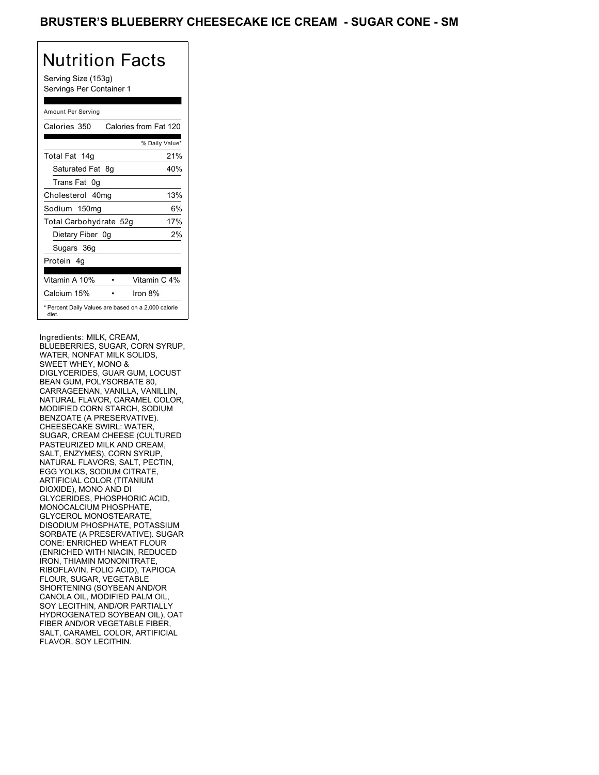## BRUSTER'S BLUEBERRY CHEESECAKE ICE CREAM - SUGAR CONE - SM

# Nutrition Facts

Serving Size (153g) Servings Per Container 1

### Amount Per Serving

| Calories 350           | Calories from Fat 120                               |
|------------------------|-----------------------------------------------------|
|                        | % Daily Value*                                      |
| Total Fat 14g          | 21%                                                 |
| Saturated Fat 8q       | 40%                                                 |
| Trans Fat 0q           |                                                     |
| Cholesterol 40mg       | 13%                                                 |
| Sodium 150mg           | 6%                                                  |
| Total Carbohydrate 52g | 17%                                                 |
| Dietary Fiber 0g       | 2%                                                  |
| Sugars 36g             |                                                     |
| Protein 4q             |                                                     |
|                        |                                                     |
| Vitamin A 10%          | Vitamin C 4%                                        |
| Calcium 15%            | Iron 8%                                             |
| diet.                  | * Percent Daily Values are based on a 2,000 calorie |

Ingredients: MILK, CREAM, BLUEBERRIES, SUGAR, CORN SYRUP, WATER, NONFAT MILK SOLIDS, SWEET WHEY, MONO & DIGLYCERIDES, GUAR GUM, LOCUST BEAN GUM, POLYSORBATE 80, CARRAGEENAN, VANILLA, VANILLIN, NATURAL FLAVOR, CARAMEL COLOR, MODIFIED CORN STARCH, SODIUM BENZOATE (A PRESERVATIVE). CHEESECAKE SWIRL: WATER, SUGAR, CREAM CHEESE (CULTURED PASTEURIZED MILK AND CREAM, SALT, ENZYMES), CORN SYRUP, NATURAL FLAVORS, SALT, PECTIN, EGG YOLKS, SODIUM CITRATE, ARTIFICIAL COLOR (TITANIUM DIOXIDE), MONO AND DI GLYCERIDES, PHOSPHORIC ACID, MONOCALCIUM PHOSPHATE, GLYCEROL MONOSTEARATE, DISODIUM PHOSPHATE, POTASSIUM SORBATE (A PRESERVATIVE). SUGAR CONE: ENRICHED WHEAT FLOUR (ENRICHED WITH NIACIN, REDUCED IRON, THIAMIN MONONITRATE, RIBOFLAVIN, FOLIC ACID), TAPIOCA FLOUR, SUGAR, VEGETABLE SHORTENING (SOYBEAN AND/OR CANOLA OIL, MODIFIED PALM OIL, SOY LECITHIN, AND/OR PARTIALLY HYDROGENATED SOYBEAN OIL), OAT FIBER AND/OR VEGETABLE FIBER, SALT, CARAMEL COLOR, ARTIFICIAL FLAVOR, SOY LECITHIN.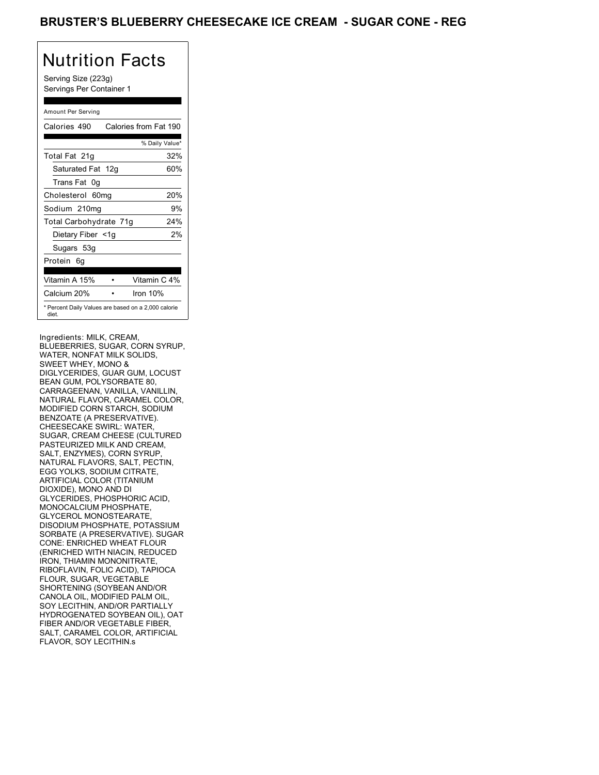## BRUSTER'S BLUEBERRY CHEESECAKE ICE CREAM - SUGAR CONE - REG

# Nutrition Facts

Serving Size (223g) Servings Per Container 1

### Amount Per Serving

| Calories 490                                                 | Calories from Fat 190 |
|--------------------------------------------------------------|-----------------------|
|                                                              | % Daily Value*        |
| Total Fat 21g                                                | 32%                   |
| Saturated Fat 12g                                            | 60%                   |
| Trans Fat 0q                                                 |                       |
| Cholesterol 60mg                                             | 20%                   |
| Sodium 210mg                                                 | 9%                    |
| Total Carbohydrate 71g                                       | 24%                   |
| Dietary Fiber <1g                                            | 2%                    |
| Sugars 53g                                                   |                       |
| Protein 6g                                                   |                       |
| Vitamin A 15%                                                | Vitamin C 4%          |
| Calcium 20%                                                  | Iron 10%              |
| * Percent Daily Values are based on a 2,000 calorie<br>diet. |                       |

Ingredients: MILK, CREAM, BLUEBERRIES, SUGAR, CORN SYRUP, WATER, NONFAT MILK SOLIDS, SWEET WHEY, MONO & DIGLYCERIDES, GUAR GUM, LOCUST BEAN GUM, POLYSORBATE 80, CARRAGEENAN, VANILLA, VANILLIN, NATURAL FLAVOR, CARAMEL COLOR, MODIFIED CORN STARCH, SODIUM BENZOATE (A PRESERVATIVE). CHEESECAKE SWIRL: WATER, SUGAR, CREAM CHEESE (CULTURED PASTEURIZED MILK AND CREAM, SALT, ENZYMES), CORN SYRUP, NATURAL FLAVORS, SALT, PECTIN, EGG YOLKS, SODIUM CITRATE, ARTIFICIAL COLOR (TITANIUM DIOXIDE), MONO AND DI GLYCERIDES, PHOSPHORIC ACID, MONOCALCIUM PHOSPHATE, GLYCEROL MONOSTEARATE, DISODIUM PHOSPHATE, POTASSIUM SORBATE (A PRESERVATIVE). SUGAR CONE: ENRICHED WHEAT FLOUR (ENRICHED WITH NIACIN, REDUCED IRON, THIAMIN MONONITRATE, RIBOFLAVIN, FOLIC ACID), TAPIOCA FLOUR, SUGAR, VEGETABLE SHORTENING (SOYBEAN AND/OR CANOLA OIL, MODIFIED PALM OIL, SOY LECITHIN, AND/OR PARTIALLY HYDROGENATED SOYBEAN OIL), OAT FIBER AND/OR VEGETABLE FIBER, SALT, CARAMEL COLOR, ARTIFICIAL FLAVOR, SOY LECITHIN.s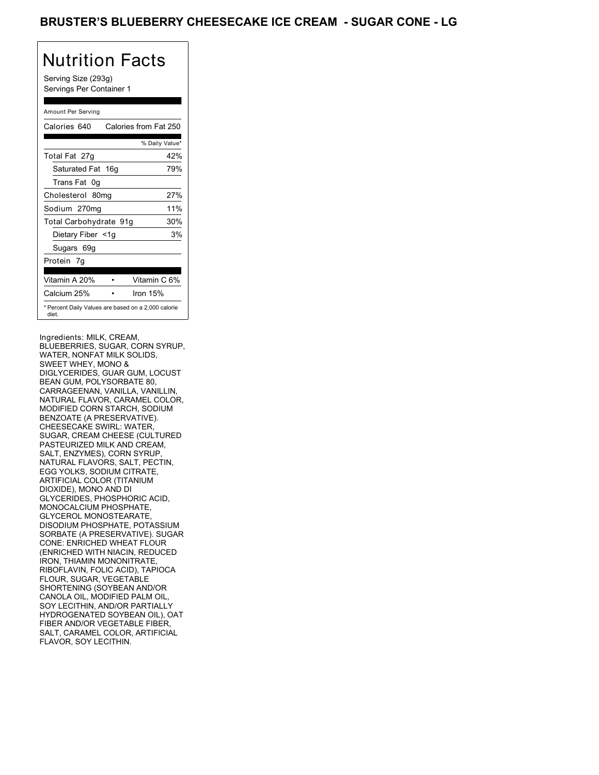## BRUSTER'S BLUEBERRY CHEESECAKE ICE CREAM - SUGAR CONE - LG

# Nutrition Facts

Serving Size (293g) Servings Per Container 1

### Amount Per Serving

| Calories 640           | Calories from Fat 250                               |
|------------------------|-----------------------------------------------------|
|                        | % Daily Value*                                      |
| Total Fat 27g          | 42%                                                 |
| Saturated Fat 16g      | 79%                                                 |
| Trans Fat 0q           |                                                     |
| Cholesterol 80mg       | 27%                                                 |
| Sodium 270mg           | 11%                                                 |
| Total Carbohydrate 91g | 30%                                                 |
| Dietary Fiber <1g      | 3%                                                  |
| Sugars 69g             |                                                     |
| Protein 7q             |                                                     |
| Vitamin A 20%          | Vitamin C 6%                                        |
| Calcium 25%            | Iron 15%                                            |
| diet.                  | * Percent Daily Values are based on a 2,000 calorie |

Ingredients: MILK, CREAM, BLUEBERRIES, SUGAR, CORN SYRUP, WATER, NONFAT MILK SOLIDS, SWEET WHEY, MONO & DIGLYCERIDES, GUAR GUM, LOCUST BEAN GUM, POLYSORBATE 80, CARRAGEENAN, VANILLA, VANILLIN, NATURAL FLAVOR, CARAMEL COLOR, MODIFIED CORN STARCH, SODIUM BENZOATE (A PRESERVATIVE). CHEESECAKE SWIRL: WATER, SUGAR, CREAM CHEESE (CULTURED PASTEURIZED MILK AND CREAM, SALT, ENZYMES), CORN SYRUP, NATURAL FLAVORS, SALT, PECTIN, EGG YOLKS, SODIUM CITRATE, ARTIFICIAL COLOR (TITANIUM DIOXIDE), MONO AND DI GLYCERIDES, PHOSPHORIC ACID, MONOCALCIUM PHOSPHATE, GLYCEROL MONOSTEARATE, DISODIUM PHOSPHATE, POTASSIUM SORBATE (A PRESERVATIVE). SUGAR CONE: ENRICHED WHEAT FLOUR (ENRICHED WITH NIACIN, REDUCED IRON, THIAMIN MONONITRATE, RIBOFLAVIN, FOLIC ACID), TAPIOCA FLOUR, SUGAR, VEGETABLE SHORTENING (SOYBEAN AND/OR CANOLA OIL, MODIFIED PALM OIL, SOY LECITHIN, AND/OR PARTIALLY HYDROGENATED SOYBEAN OIL), OAT FIBER AND/OR VEGETABLE FIBER, SALT, CARAMEL COLOR, ARTIFICIAL FLAVOR, SOY LECITHIN.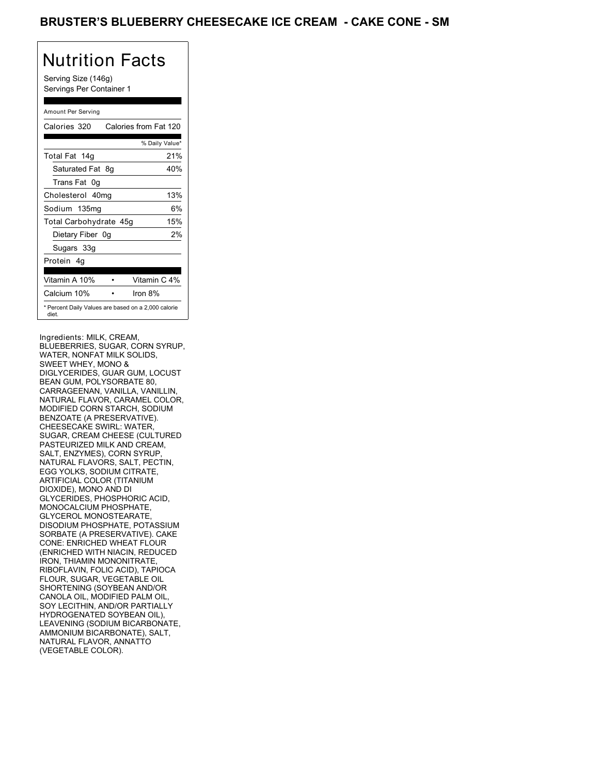## BRUSTER'S BLUEBERRY CHEESECAKE ICE CREAM **- CAKE CONE - SM**

# Nutrition Facts

Serving Size (146g) Servings Per Container 1

#### Amount Per Serving

| Calories 320           | Calories from Fat 120                               |
|------------------------|-----------------------------------------------------|
|                        | % Daily Value*                                      |
| Total Fat 14g          | 21%                                                 |
| Saturated Fat 8g       | 40%                                                 |
| Trans Fat 0q           |                                                     |
| Cholesterol 40mg       | 13%                                                 |
| Sodium 135mg           | 6%                                                  |
| Total Carbohydrate 45g | 15%                                                 |
| Dietary Fiber 0g       | 2%                                                  |
| Sugars 33g             |                                                     |
| Protein 4q             |                                                     |
| Vitamin A 10%          | Vitamin C 4%                                        |
| Calcium 10%            | Iron 8%                                             |
| diet.                  | * Percent Daily Values are based on a 2,000 calorie |

Ingredients: MILK, CREAM, BLUEBERRIES, SUGAR, CORN SYRUP, WATER, NONFAT MILK SOLIDS, SWEET WHEY, MONO & DIGLYCERIDES, GUAR GUM, LOCUST BEAN GUM, POLYSORBATE 80, CARRAGEENAN, VANILLA, VANILLIN, NATURAL FLAVOR, CARAMEL COLOR, MODIFIED CORN STARCH, SODIUM BENZOATE (A PRESERVATIVE). CHEESECAKE SWIRL: WATER, SUGAR, CREAM CHEESE (CULTURED PASTEURIZED MILK AND CREAM, SALT, ENZYMES), CORN SYRUP, NATURAL FLAVORS, SALT, PECTIN, EGG YOLKS, SODIUM CITRATE, ARTIFICIAL COLOR (TITANIUM DIOXIDE), MONO AND DI GLYCERIDES, PHOSPHORIC ACID, MONOCALCIUM PHOSPHATE, GLYCEROL MONOSTEARATE, DISODIUM PHOSPHATE, POTASSIUM SORBATE (A PRESERVATIVE). CAKE CONE: ENRICHED WHEAT FLOUR (ENRICHED WITH NIACIN, REDUCED IRON, THIAMIN MONONITRATE, RIBOFLAVIN, FOLIC ACID), TAPIOCA FLOUR, SUGAR, VEGETABLE OIL SHORTENING (SOYBEAN AND/OR CANOLA OIL, MODIFIED PALM OIL, SOY LECITHIN, AND/OR PARTIALLY HYDROGENATED SOYBEAN OIL), LEAVENING (SODIUM BICARBONATE, AMMONIUM BICARBONATE), SALT, NATURAL FLAVOR, ANNATTO (VEGETABLE COLOR).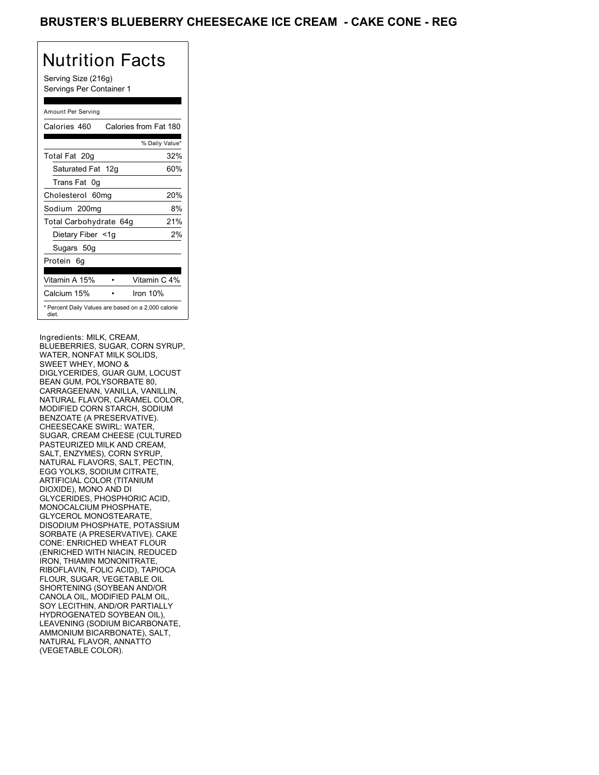## BRUSTER'S BLUEBERRY CHEESECAKE ICE CREAM **- CAKE CONE - REG**

# Nutrition Facts

Serving Size (216g) Servings Per Container 1

### Amount Per Serving

| Calories 460           | Calories from Fat 180                               |
|------------------------|-----------------------------------------------------|
|                        | % Daily Value*                                      |
| Total Fat 20g          | 32%                                                 |
| Saturated Fat 12g      | 60%                                                 |
| Trans Fat 0q           |                                                     |
| Cholesterol 60mg       | 20%                                                 |
| Sodium 200mg           | 8%                                                  |
| Total Carbohydrate 64g | 21%                                                 |
| Dietary Fiber <1g      | 2%                                                  |
| Sugars 50g             |                                                     |
| Protein 6g             |                                                     |
|                        |                                                     |
| Vitamin A 15%          | Vitamin C 4%                                        |
| Calcium 15%            | Iron 10%                                            |
| diet.                  | * Percent Daily Values are based on a 2,000 calorie |

Ingredients: MILK, CREAM, BLUEBERRIES, SUGAR, CORN SYRUP, WATER, NONFAT MILK SOLIDS, SWEET WHEY, MONO & DIGLYCERIDES, GUAR GUM, LOCUST BEAN GUM, POLYSORBATE 80, CARRAGEENAN, VANILLA, VANILLIN, NATURAL FLAVOR, CARAMEL COLOR, MODIFIED CORN STARCH, SODIUM BENZOATE (A PRESERVATIVE). CHEESECAKE SWIRL: WATER, SUGAR, CREAM CHEESE (CULTURED PASTEURIZED MILK AND CREAM, SALT, ENZYMES), CORN SYRUP, NATURAL FLAVORS, SALT, PECTIN, EGG YOLKS, SODIUM CITRATE, ARTIFICIAL COLOR (TITANIUM DIOXIDE), MONO AND DI GLYCERIDES, PHOSPHORIC ACID, MONOCALCIUM PHOSPHATE, GLYCEROL MONOSTEARATE, DISODIUM PHOSPHATE, POTASSIUM SORBATE (A PRESERVATIVE). CAKE CONE: ENRICHED WHEAT FLOUR (ENRICHED WITH NIACIN, REDUCED IRON, THIAMIN MONONITRATE, RIBOFLAVIN, FOLIC ACID), TAPIOCA FLOUR, SUGAR, VEGETABLE OIL SHORTENING (SOYBEAN AND/OR CANOLA OIL, MODIFIED PALM OIL, SOY LECITHIN, AND/OR PARTIALLY HYDROGENATED SOYBEAN OIL), LEAVENING (SODIUM BICARBONATE, AMMONIUM BICARBONATE), SALT, NATURAL FLAVOR, ANNATTO (VEGETABLE COLOR).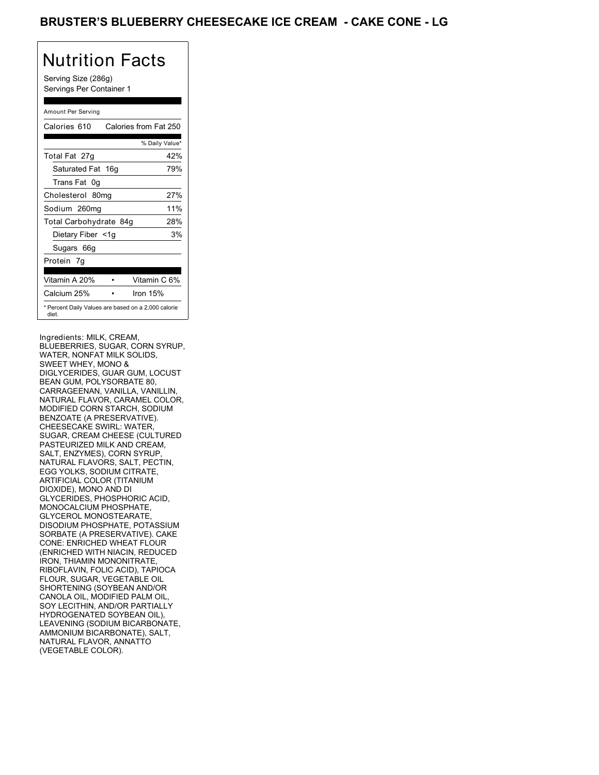## BRUSTER'S BLUEBERRY CHEESECAKE ICE CREAM **- CAKE CONE - LG**

## Nutrition Facts

Serving Size (286g) Servings Per Container 1

### Amount Per Serving

| Calories 610                                                 | Calories from Fat 250 |
|--------------------------------------------------------------|-----------------------|
|                                                              | % Daily Value*        |
| Total Fat 27g                                                | 42%                   |
| Saturated Fat 16g                                            | 79%                   |
| Trans Fat 0q                                                 |                       |
| Cholesterol 80mg                                             | 27%                   |
| Sodium 260mg                                                 | 11%                   |
| Total Carbohydrate 84g                                       | 28%                   |
| Dietary Fiber <1g                                            | 3%                    |
| Sugars 66g                                                   |                       |
| Protein 7g                                                   |                       |
| Vitamin A 20%                                                | Vitamin C 6%          |
| Calcium 25%                                                  | Iron $15%$            |
| * Percent Daily Values are based on a 2,000 calorie<br>diet. |                       |

Ingredients: MILK, CREAM, BLUEBERRIES, SUGAR, CORN SYRUP, WATER, NONFAT MILK SOLIDS, SWEET WHEY, MONO & DIGLYCERIDES, GUAR GUM, LOCUST BEAN GUM, POLYSORBATE 80, CARRAGEENAN, VANILLA, VANILLIN, NATURAL FLAVOR, CARAMEL COLOR, MODIFIED CORN STARCH, SODIUM BENZOATE (A PRESERVATIVE). CHEESECAKE SWIRL: WATER, SUGAR, CREAM CHEESE (CULTURED PASTEURIZED MILK AND CREAM, SALT, ENZYMES), CORN SYRUP, NATURAL FLAVORS, SALT, PECTIN, EGG YOLKS, SODIUM CITRATE, ARTIFICIAL COLOR (TITANIUM DIOXIDE), MONO AND DI GLYCERIDES, PHOSPHORIC ACID, MONOCALCIUM PHOSPHATE, GLYCEROL MONOSTEARATE, DISODIUM PHOSPHATE, POTASSIUM SORBATE (A PRESERVATIVE). CAKE CONE: ENRICHED WHEAT FLOUR (ENRICHED WITH NIACIN, REDUCED IRON, THIAMIN MONONITRATE, RIBOFLAVIN, FOLIC ACID), TAPIOCA FLOUR, SUGAR, VEGETABLE OIL SHORTENING (SOYBEAN AND/OR CANOLA OIL, MODIFIED PALM OIL, SOY LECITHIN, AND/OR PARTIALLY HYDROGENATED SOYBEAN OIL), LEAVENING (SODIUM BICARBONATE, AMMONIUM BICARBONATE), SALT, NATURAL FLAVOR, ANNATTO (VEGETABLE COLOR).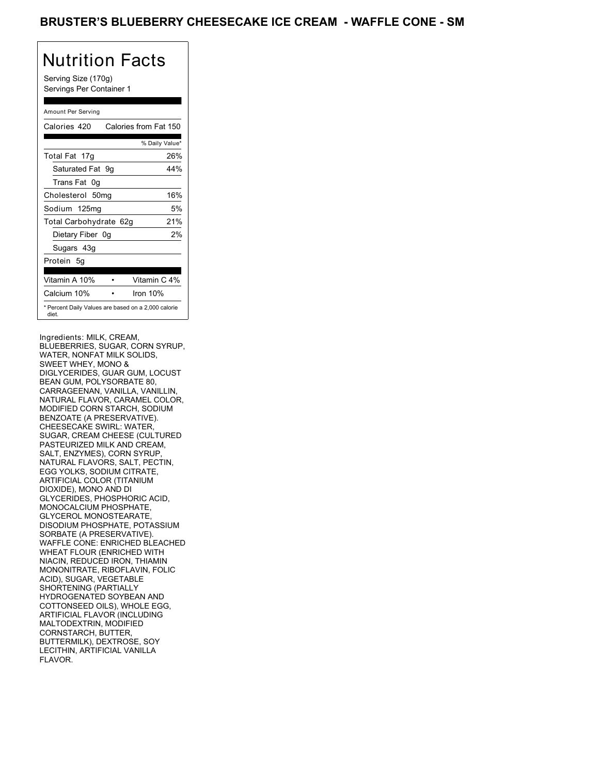## BRUSTER'S BLUEBERRY CHEESECAKE ICE CREAM - WAFFLE CONE - SM

## Nutrition Facts

Serving Size (170g) Servings Per Container 1

### Amount Per Serving

| Calories 420           | Calories from Fat 150                               |
|------------------------|-----------------------------------------------------|
|                        | % Daily Value*                                      |
| Total Fat 17g          | 26%                                                 |
| Saturated Fat 9q       | 44%                                                 |
| Trans Fat 0g           |                                                     |
| Cholesterol 50mg       | 16%                                                 |
| Sodium 125mg           | 5%                                                  |
| Total Carbohydrate 62g | 21%                                                 |
| Dietary Fiber 0q       | 2%                                                  |
| Sugars 43g             |                                                     |
| Protein 5q             |                                                     |
| Vitamin A 10%          | Vitamin C 4%                                        |
| Calcium 10%            | Iron 10%                                            |
| diet.                  | * Percent Daily Values are based on a 2,000 calorie |

Ingredients: MILK, CREAM, BLUEBERRIES, SUGAR, CORN SYRUP, WATER, NONFAT MILK SOLIDS, SWEET WHEY, MONO & DIGLYCERIDES, GUAR GUM, LOCUST BEAN GUM, POLYSORBATE 80, CARRAGEENAN, VANILLA, VANILLIN, NATURAL FLAVOR, CARAMEL COLOR, MODIFIED CORN STARCH, SODIUM BENZOATE (A PRESERVATIVE). CHEESECAKE SWIRL: WATER, SUGAR, CREAM CHEESE (CULTURED PASTEURIZED MILK AND CREAM, SALT, ENZYMES), CORN SYRUP, NATURAL FLAVORS, SALT, PECTIN, EGG YOLKS, SODIUM CITRATE, ARTIFICIAL COLOR (TITANIUM DIOXIDE), MONO AND DI GLYCERIDES, PHOSPHORIC ACID, MONOCALCIUM PHOSPHATE, GLYCEROL MONOSTEARATE, DISODIUM PHOSPHATE, POTASSIUM SORBATE (A PRESERVATIVE). WAFFLE CONE: ENRICHED BLEACHED WHEAT FLOUR (ENRICHED WITH NIACIN, REDUCED IRON, THIAMIN MONONITRATE, RIBOFLAVIN, FOLIC ACID), SUGAR, VEGETABLE SHORTENING (PARTIALLY HYDROGENATED SOYBEAN AND COTTONSEED OILS), WHOLE EGG, ARTIFICIAL FLAVOR (INCLUDING MALTODEXTRIN, MODIFIED CORNSTARCH, BUTTER, BUTTERMILK), DEXTROSE, SOY LECITHIN, ARTIFICIAL VANILLA FLAVOR.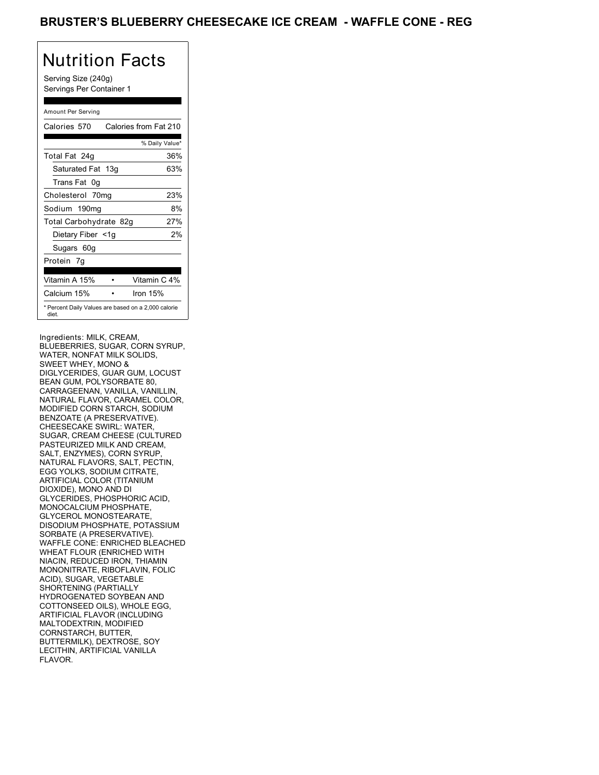## BRUSTER'S BLUEBERRY CHEESECAKE ICE CREAM - WAFFLE CONE - REG

## Nutrition Facts

Serving Size (240g) Servings Per Container 1

### Amount Per Serving

| Calories 570                                                 | Calories from Fat 210 |
|--------------------------------------------------------------|-----------------------|
|                                                              | % Daily Value*        |
| Total Fat 24g                                                | 36%                   |
| Saturated Fat 13g                                            | 63%                   |
| Trans Fat 0q                                                 |                       |
| Cholesterol 70mg                                             | 23%                   |
| Sodium 190mg                                                 | 8%                    |
| Total Carbohydrate 82g                                       | 27%                   |
| Dietary Fiber <1g                                            | 2%                    |
| Sugars 60g                                                   |                       |
| Protein 7q                                                   |                       |
|                                                              |                       |
| Vitamin A 15%                                                | Vitamin C 4%          |
| Calcium 15%                                                  | Iron 15%              |
| * Percent Daily Values are based on a 2,000 calorie<br>diet. |                       |

Ingredients: MILK, CREAM, BLUEBERRIES, SUGAR, CORN SYRUP, WATER, NONFAT MILK SOLIDS, SWEET WHEY, MONO & DIGLYCERIDES, GUAR GUM, LOCUST BEAN GUM, POLYSORBATE 80, CARRAGEENAN, VANILLA, VANILLIN, NATURAL FLAVOR, CARAMEL COLOR, MODIFIED CORN STARCH, SODIUM BENZOATE (A PRESERVATIVE). CHEESECAKE SWIRL: WATER, SUGAR, CREAM CHEESE (CULTURED PASTEURIZED MILK AND CREAM, SALT, ENZYMES), CORN SYRUP, NATURAL FLAVORS, SALT, PECTIN, EGG YOLKS, SODIUM CITRATE, ARTIFICIAL COLOR (TITANIUM DIOXIDE), MONO AND DI GLYCERIDES, PHOSPHORIC ACID, MONOCALCIUM PHOSPHATE, GLYCEROL MONOSTEARATE, DISODIUM PHOSPHATE, POTASSIUM SORBATE (A PRESERVATIVE). WAFFLE CONE: ENRICHED BLEACHED WHEAT FLOUR (ENRICHED WITH NIACIN, REDUCED IRON, THIAMIN MONONITRATE, RIBOFLAVIN, FOLIC ACID), SUGAR, VEGETABLE SHORTENING (PARTIALLY HYDROGENATED SOYBEAN AND COTTONSEED OILS), WHOLE EGG, ARTIFICIAL FLAVOR (INCLUDING MALTODEXTRIN, MODIFIED CORNSTARCH, BUTTER, BUTTERMILK), DEXTROSE, SOY LECITHIN, ARTIFICIAL VANILLA FLAVOR.